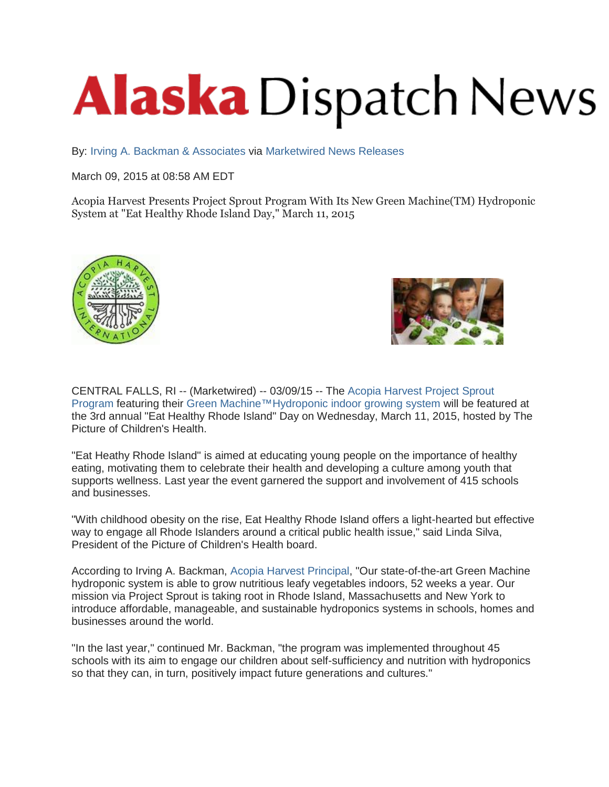## **Alaska** Dispatch News

By: [Irving A. Backman & Associates](http://markets.financialcontent.com/mi.adn/news/releasedby?ReleasedBy=Irving+A.+Backman+%26+Associates) via [Marketwired News Releases](http://markets.financialcontent.com/mi.adn/news/channelinfo?ChannelID=3198)

March 09, 2015 at 08:58 AM EDT

Acopia Harvest Presents Project Sprout Program With Its New Green Machine(TM) Hydroponic System at "Eat Healthy Rhode Island Day," March 11, 2015





CENTRAL FALLS, RI -- (Marketwired) -- 03/09/15 -- The [Acopia Harvest Project Sprout](http://acopiaharvest.com/)  [Program](http://acopiaharvest.com/) featuring their [Green Machine™Hydroponic indoor growing system](http://acopiaharvest.com/) will be featured at the 3rd annual "Eat Healthy Rhode Island" Day on Wednesday, March 11, 2015, hosted by The Picture of Children's Health.

"Eat Heathy Rhode Island" is aimed at educating young people on the importance of healthy eating, motivating them to celebrate their health and developing a culture among youth that supports wellness. Last year the event garnered the support and involvement of 415 schools and businesses.

"With childhood obesity on the rise, Eat Healthy Rhode Island offers a light-hearted but effective way to engage all Rhode Islanders around a critical public health issue," said Linda Silva, President of the Picture of Children's Health board.

According to Irving A. Backman, [Acopia Harvest Principal,](http://acopiaharvest.com/) "Our state-of-the-art Green Machine hydroponic system is able to grow nutritious leafy vegetables indoors, 52 weeks a year. Our mission via Project Sprout is taking root in Rhode Island, Massachusetts and New York to introduce affordable, manageable, and sustainable hydroponics systems in schools, homes and businesses around the world.

"In the last year," continued Mr. Backman, "the program was implemented throughout 45 schools with its aim to engage our children about self-sufficiency and nutrition with hydroponics so that they can, in turn, positively impact future generations and cultures."